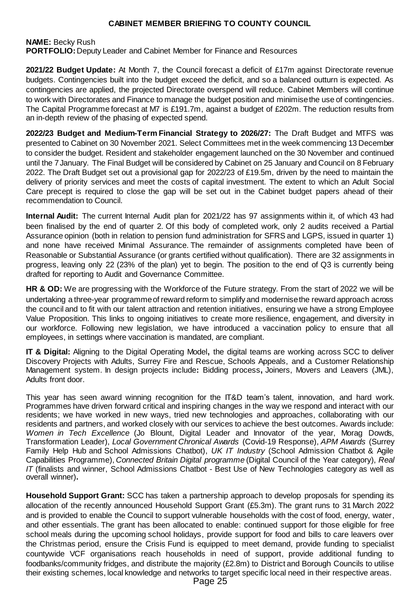**NAME:** Becky Rush

**PORTFOLIO:** Deputy Leader and Cabinet Member for Finance and Resources

**2021/22 Budget Update:** At Month 7, the Council forecast a deficit of £17m against Directorate revenue budgets. Contingencies built into the budget exceed the deficit, and so a balanced outturn is expected. As contingencies are applied, the projected Directorate overspend will reduce. Cabinet Members will continue to work with Directorates and Finance to manage the budget position and minimise the use of contingencies. The Capital Programme forecast at M7 is £191.7m, against a budget of £202m. The reduction results from an in-depth review of the phasing of expected spend.

**2022/23 Budget and Medium-Term Financial Strategy to 2026/27:** The Draft Budget and MTFS was presented to Cabinet on 30 November 2021. Select Committees met in the week commencing 13 December to consider the budget. Resident and stakeholder engagement launched on the 30 November and continued until the 7January. The Final Budget will be considered by Cabinet on 25 January and Council on 8 February 2022. The Draft Budget set out a provisional gap for 2022/23 of £19.5m, driven by the need to maintain the delivery of priority services and meet the costs of capital investment. The extent to which an Adult Social Care precept is required to close the gap will be set out in the Cabinet budget papers ahead of their recommendation to Council.

**Internal Audit:** The current Internal Audit plan for 2021/22 has 97 assignments within it, of which 43 had been finalised by the end of quarter 2. Of this body of completed work, only 2 audits received a Partial Assurance opinion (both in relation to pension fund administration for SFRS and LGPS, issued in quarter 1) and none have received Minimal Assurance. The remainder of assignments completed have been of Reasonable or Substantial Assurance (or grants certified without qualification). There are 32 assignments in progress, leaving only 22 (23% of the plan) yet to begin. The position to the end of Q3 is currently being drafted for reporting to Audit and Governance Committee.

**HR & OD:** We are progressing with the Workforce of the Future strategy. From the start of 2022 we will be undertaking a three-year programme of reward reform to simplify and modernise the reward approach across the council and to fit with our talent attraction and retention initiatives, ensuring we have a strong Employee Value Proposition. This links to ongoing initiatives to create more resilience, engagement, and diversity in our workforce. Following new legislation, we have introduced a vaccination policy to ensure that all employees, in settings where vaccination is mandated, are compliant.

**IT & Digital:** Aligning to the Digital Operating Model**,** the digital teams are working across SCC to deliver Discovery Projects with Adults, Surrey Fire and Rescue, Schools Appeals, and a Customer Relationship Management system. In design projects include**:** Bidding process**,** Joiners, Movers and Leavers (JML), Adults front door.

This year has seen award winning recognition for the IT&D team's talent, innovation, and hard work. Programmes have driven forward critical and inspiring changes in the way we respond and interact with our residents; we have worked in new ways, tried new technologies and approaches, collaborating with our residents and partners, and worked closely with our services to achieve the best outcomes. Awards include: *Women in Tech Excellence* (Jo Blount, Digital Leader and Innovator of the year, Morag Dowds, Transformation Leader), *Local Government Chronical Awards* (Covid-19 Response), *APM Awards* (Surrey Family Help Hub and School Admissions Chatbot), *UK IT Industry* (School Admission Chatbot & Agile Capabilities Programme), *Connected Britain Digital programme* (Digital Council of the Year category), *Real IT* (finalists and winner, School Admissions Chatbot - Best Use of New Technologies category as well as overall winner)**.**

**Household Support Grant:** SCC has taken a partnership approach to develop proposals for spending its allocation of the recently announced Household Support Grant (£5.3m). The grant runs to 31 March 2022 and is provided to enable the Council to support vulnerable households with the cost of food, energy, water, and other essentials. The grant has been allocated to enable: continued support for those eligible for free school meals during the upcoming school holidays, provide support for food and bills to care leavers over the Christmas period, ensure the Crisis Fund is equipped to meet demand, provide funding to specialist countywide VCF organisations reach households in need of support, provide additional funding to foodbanks/community fridges, and distribute the majority (£2.8m) to District and Borough Councils to utilise their existing schemes, local knowledge and networks to target specific local need in their respective areas.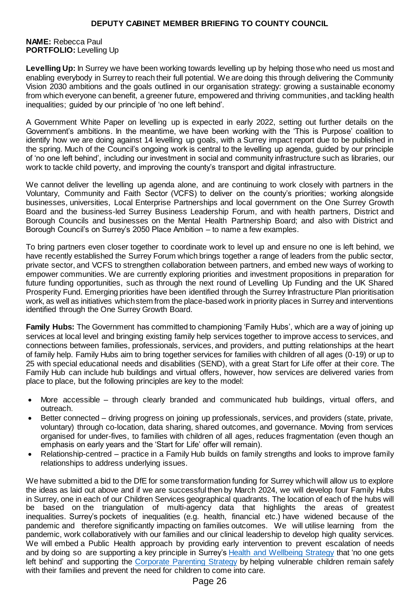### **NAME:** Rebecca Paul **PORTFOLIO:** Levelling Up

**Levelling Up:** In Surrey we have been working towards levelling up by helping those who need us most and enabling everybody in Surrey to reach their full potential. We are doing this through delivering the Community Vision 2030 ambitions and the goals outlined in our organisation strategy: growing a sustainable economy from which everyone can benefit, a greener future, empowered and thriving communities, and tackling health inequalities; guided by our principle of 'no one left behind'.

A Government White Paper on levelling up is expected in early 2022, setting out further details on the Government's ambitions. In the meantime, we have been working with the 'This is Purpose' coalition to identify how we are doing against 14 levelling up goals, with a Surrey impact report due to be published in the spring. Much of the Council's ongoing work is central to the levelling up agenda, guided by our principle of 'no one left behind', including our investment in social and community infrastructure such as libraries, our work to tackle child poverty, and improving the county's transport and digital infrastructure.

We cannot deliver the levelling up agenda alone, and are continuing to work closely with partners in the Voluntary, Community and Faith Sector (VCFS) to deliver on the county's priorities; working alongside businesses, universities, Local Enterprise Partnerships and local government on the One Surrey Growth Board and the business-led Surrey Business Leadership Forum, and with health partners, District and Borough Councils and businesses on the Mental Health Partnership Board; and also with District and Borough Council's on Surrey's 2050 Place Ambition – to name a few examples.

To bring partners even closer together to coordinate work to level up and ensure no one is left behind, we have recently established the Surrey Forum which brings together a range of leaders from the public sector, private sector, and VCFS to strengthen collaboration between partners, and embed new ways of working to empower communities. We are currently exploring priorities and investment propositions in preparation for future funding opportunities, such as through the next round of Levelling Up Funding and the UK Shared Prosperity Fund. Emerging priorities have been identified through the Surrey Infrastructure Plan prioritisation work, as well as initiatives which stem from the place-based work in priority places in Surrey and interventions identified through the One Surrey Growth Board.

**Family Hubs:** The Government has committed to championing 'Family Hubs', which are a way of joining up services at local level and bringing existing family help services together to improve access to services, and connections between families, professionals, services, and providers, and putting relationships at the heart of family help. Family Hubs aim to bring together services for families with children of all ages (0-19) or up to 25 with special educational needs and disabilities (SEND), with a great Start for Life offer at their core. The Family Hub can include hub buildings and virtual offers, however, how services are delivered varies from place to place, but the following principles are key to the model:

- More accessible through clearly branded and communicated hub buildings, virtual offers, and outreach.
- Better connected driving progress on joining up professionals, services, and providers (state, private, voluntary) through co-location, data sharing, shared outcomes, and governance. Moving from services organised for under-fives, to families with children of all ages, reduces fragmentation (even though an emphasis on early years and the 'Start for Life' offer will remain).
- Relationship-centred practice in a Family Hub builds on family strengths and looks to improve family relationships to address underlying issues.

We have submitted a bid to the DfE for some transformation funding for Surrey which will allow us to explore the ideas as laid out above and if we are successful then by March 2024, we will develop four Family Hubs in Surrey, one in each of our Children Services geographical quadrants. The location of each of the hubs will be based on the triangulation of multi-agency data that highlights the areas of greatest inequalities. Surrey's pockets of inequalities (e.g. health, financial etc.) have widened because of the pandemic and therefore significantly impacting on families outcomes. We will utilise learning from the pandemic, work collaboratively with our families and our clinical leadership to develop high quality services. We will embed a Public Health approach by providing early intervention to prevent escalation of needs and by doing so are supporting a key principle in Surrey's [Health and Wellbeing Strategy](https://www.healthysurrey.org.uk/__data/assets/pdf_file/0007/197530/Surrey-Health-and-Wellbeing-Strategy-FINAL-19.11.20.pdf) that 'no one gets left behind' and supporting the [Corporate Parenting Strategy](https://www.surreycc.gov.uk/__data/assets/pdf_file/0007/227725/Corporate-parenting-strategy.v4_lo.pdf) by helping vulnerable children remain safely with their families and prevent the need for children to come into care.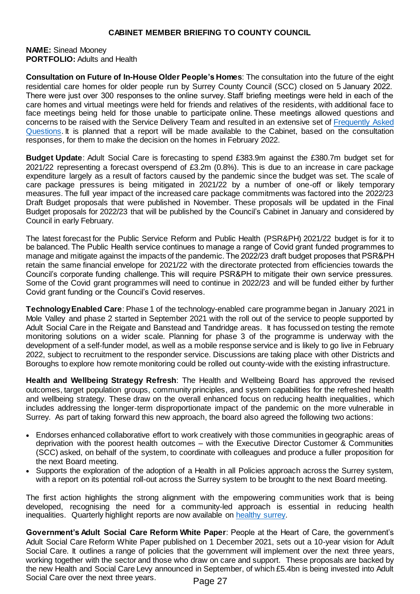#### **NAME:** Sinead Mooney **PORTFOLIO:** Adults and Health

**Consultation on Future of In-House Older People's Homes**: The consultation into the future of the eight residential care homes for older people run by Surrey County Council (SCC) closed on 5 January 2022.  There were just over 300 responses to the online survey. Staff briefing meetings were held in each of the care homes and virtual meetings were held for friends and relatives of the residents, with additional face to face meetings being held for those unable to participate online. These meetings allowed questions and concerns to be raised with the Service Delivery Team and resulted in an extensive set of [Frequently Asked](https://www.surreysays.co.uk/adult-social-care-and-public-health/op-draft/)  [Questions.](https://www.surreysays.co.uk/adult-social-care-and-public-health/op-draft/) It is planned that a report will be made available to the Cabinet, based on the consultation responses, for them to make the decision on the homes in February 2022.

**Budget Update**: Adult Social Care is forecasting to spend £383.9m against the £380.7m budget set for 2021/22 representing a forecast overspend of £3.2m (0.8%). This is due to an increase in care package expenditure largely as a result of factors caused by the pandemic since the budget was set. The scale of care package pressures is being mitigated in 2021/22 by a number of one-off or likely temporary measures. The full year impact of the increased care package commitments was factored into the 2022/23 Draft Budget proposals that were published in November. These proposals will be updated in the Final Budget proposals for 2022/23 that will be published by the Council's Cabinet in January and considered by Council in early February.

The latest forecast for the Public Service Reform and Public Health (PSR&PH) 2021/22 budget is for it to be balanced. The Public Health service continues to manage a range of Covid grant funded programmes to manage and mitigate against the impacts of the pandemic. The 2022/23 draft budget proposes that PSR&PH retain the same financial envelope for 2021/22 with the directorate protected from efficiencies towards the Council's corporate funding challenge. This will require PSR&PH to mitigate their own service pressures.  Some of the Covid grant programmes will need to continue in 2022/23 and will be funded either by further Covid grant funding or the Council's Covid reserves.

**Technology Enabled Care**: Phase 1 of the technology-enabled care programme began in January 2021 in Mole Valley and phase 2 started in September 2021 with the roll out of the service to people supported by Adult Social Care in the Reigate and Banstead and Tandridge areas. It has focussed on testing the remote monitoring solutions on a wider scale. Planning for phase 3 of the programme is underway with the development of a self-funder model, as well as a mobile response service and is likely to go live in February 2022, subject to recruitment to the responder service. Discussions are taking place with other Districts and Boroughs to explore how remote monitoring could be rolled out county-wide with the existing infrastructure.

**Health and Wellbeing Strategy Refresh**: The Health and Wellbeing Board has approved the revised outcomes, target population groups, community principles, and system capabilities for the refreshed health and wellbeing strategy. These draw on the overall enhanced focus on reducing health inequalities, which includes addressing the longer-term disproportionate impact of the pandemic on the more vulnerable in Surrey. As part of taking forward this new approach, the board also agreed the following two actions:

- Endorses enhanced collaborative effort to work creatively with those communities in geographic areas of deprivation with the poorest health outcomes – with the Executive Director Customer & Communities (SCC) asked, on behalf of the system, to coordinate with colleagues and produce a fuller proposition for the next Board meeting.
- Supports the exploration of the adoption of a Health in all Policies approach across the Surrey system, with a report on its potential roll-out across the Surrey system to be brought to the next Board meeting.

The first action highlights the strong alignment with the empowering communities work that is being developed, recognising the need for a community-led approach is essential in reducing health inequalities. Quarterly highlight reports are now available on [healthy surrey.](https://www.healthysurrey.org.uk/about/highlight-reports)

**Government's Adult Social Care Reform White Paper**: People at the Heart of Care, the government's Adult Social Care Reform White Paper published on 1 December 2021, sets out a 10-year vision for Adult Social Care. It outlines a range of policies that the government will implement over the next three years, working together with the sector and those who draw on care and support. These proposals are backed by the new Health and Social Care Levy announced in September, of which £5.4bn is being invested into Adult Social Care over the next three years.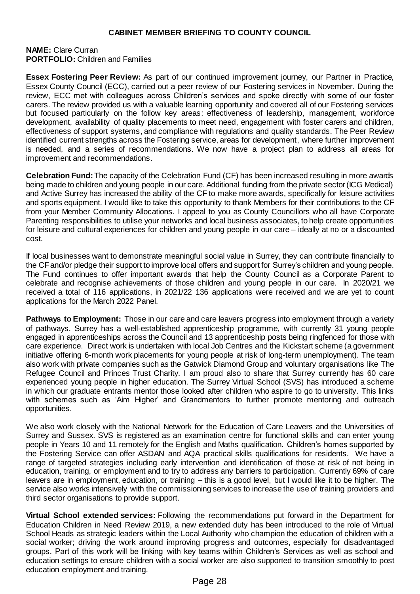#### **NAME:** Clare Curran **PORTFOLIO:** Children and Families

**Essex Fostering Peer Review:** As part of our continued improvement journey, our Partner in Practice, Essex County Council (ECC), carried out a peer review of our Fostering services in November. During the review, ECC met with colleagues across Children's services and spoke directly with some of our foster carers. The review provided us with a valuable learning opportunity and covered all of our Fostering services but focused particularly on the follow key areas: effectiveness of leadership, management, workforce development, availability of quality placements to meet need, engagement with foster carers and children, effectiveness of support systems, and compliance with regulations and quality standards. The Peer Review identified current strengths across the Fostering service, areas for development, where further improvement is needed, and a series of recommendations. We now have a project plan to address all areas for improvement and recommendations.

**Celebration Fund:**The capacity of the Celebration Fund (CF) has been increased resulting in more awards being made to children and young people in our care. Additional funding from the private sector (ICG Medical) and Active Surrey has increased the ability of the CF to make more awards, specifically for leisure activities and sports equipment. I would like to take this opportunity to thank Members for their contributions to the CF from your Member Community Allocations. I appeal to you as County Councillors who all have Corporate Parenting responsibilities to utilise your networks and local business associates, to help create opportunities for leisure and cultural experiences for children and young people in our care – ideally at no or a discounted cost.

If local businesses want to demonstrate meaningful social value in Surrey, they can contribute financially to the CF and/or pledge their support to improve local offers and support for Surrey's children and young people. The Fund continues to offer important awards that help the County Council as a Corporate Parent to celebrate and recognise achievements of those children and young people in our care. In 2020/21 we received a total of 116 applications, in 2021/22 136 applications were received and we are yet to count applications for the March 2022 Panel.

**Pathways to Employment:** Those in our care and care leavers progress into employment through a variety of pathways. Surrey has a well-established apprenticeship programme, with currently 31 young people engaged in apprenticeships across the Council and 13 apprenticeship posts being ringfenced for those with care experience. Direct work is undertaken with local Job Centres and the Kickstart scheme (a government initiative offering 6-month work placements for young people at risk of long-term unemployment). The team also work with private companies such as the Gatwick Diamond Group and voluntary organisations like The Refugee Council and Princes Trust Charity. I am proud also to share that Surrey currently has 60 care experienced young people in higher education. The Surrey Virtual School (SVS) has introduced a scheme in which our graduate entrants mentor those looked after children who aspire to go to university. This links with schemes such as 'Aim Higher' and Grandmentors to further promote mentoring and outreach opportunities.

We also work closely with the National Network for the Education of Care Leavers and the Universities of Surrey and Sussex. SVS is registered as an examination centre for functional skills and can enter young people in Years 10 and 11 remotely for the English and Maths qualification. Children's homes supported by the Fostering Service can offer ASDAN and AQA practical skills qualifications for residents. We have a range of targeted strategies including early intervention and identification of those at risk of not being in education, training, or employment and to try to address any barriers to participation. Currently 69% of care leavers are in employment, education, or training – this is a good level, but I would like it to be higher. The service also works intensively with the commissioning services to increase the use of training providers and third sector organisations to provide support.

**Virtual School extended services:** Following the recommendations put forward in the Department for Education Children in Need Review 2019, a new extended duty has been introduced to the role of Virtual School Heads as strategic leaders within the Local Authority who champion the education of children with a social worker; driving the work around improving progress and outcomes, especially for disadvantaged groups. Part of this work will be linking with key teams within Children's Services as well as school and education settings to ensure children with a social worker are also supported to transition smoothly to post education employment and training.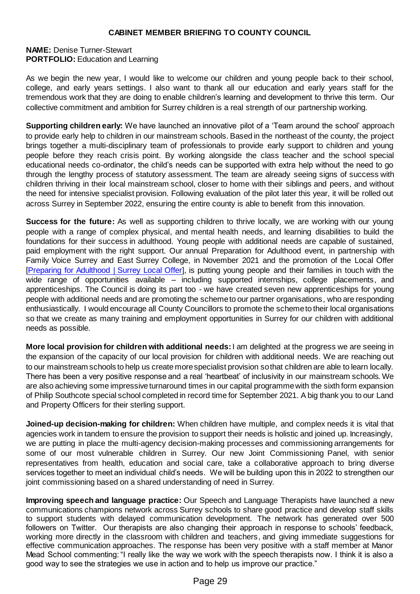**NAME:** Denise Turner-Stewart **PORTFOLIO:** Education and Learning

As we begin the new year, I would like to welcome our children and young people back to their school, college, and early years settings. I also want to thank all our education and early years staff for the tremendous work that they are doing to enable children's learning and development to thrive this term. Our collective commitment and ambition for Surrey children is a real strength of our partnership working.

**Supporting children early:** We have launched an innovative pilot of a 'Team around the school' approach to provide early help to children in our mainstream schools. Based in the northeast of the county, the project brings together a multi-disciplinary team of professionals to provide early support to children and young people before they reach crisis point. By working alongside the class teacher and the school special educational needs co-ordinator, the child's needs can be supported with extra help without the need to go through the lengthy process of statutory assessment. The team are already seeing signs of success with children thriving in their local mainstream school, closer to home with their siblings and peers, and without the need for intensive specialist provision. Following evaluation of the pilot later this year, it will be rolled out across Surrey in September 2022, ensuring the entire county is able to benefit from this innovation.

**Success for the future:** As well as supporting children to thrive locally, we are working with our young people with a range of complex physical, and mental health needs, and learning disabilities to build the foundations for their success in adulthood. Young people with additional needs are capable of sustained, paid employment with the right support. Our annual Preparation for Adulthood event, in partnership with Family Voice Surrey and East Surrey College, in November 2021 and the promotion of the Local Offer [\[Preparing for Adulthood](https://www.surreylocaloffer.org.uk/kb5/surrey/localoffer/advice.page?id=3GuUkA50n04) | Surrey Local Offer], is putting young people and their families in touch with the wide range of opportunities available – including supported internships, college placements, and apprenticeships. The Council is doing its part too - we have created seven new apprenticeships for young people with additional needs and are promoting the scheme to our partner organisations, who are responding enthusiastically. I would encourage all County Councillors to promote the scheme to their local organisations so that we create as many training and employment opportunities in Surrey for our children with additional needs as possible.

**More local provision for children with additional needs:** I am delighted at the progress we are seeing in the expansion of the capacity of our local provision for children with additional needs. We are reaching out to our mainstream schools to help us create more specialist provision so that children are able to learn locally. There has been a very positive response and a real 'heartbeat' of inclusivity in our mainstream schools. We are also achieving some impressive turnaround times in our capital programme with the sixth form expansion of Philip Southcote special school completed in record time for September 2021. A big thank you to our Land and Property Officers for their sterling support.

**Joined-up decision-making for children:** When children have multiple, and complex needs it is vital that agencies work in tandem to ensure the provision to support their needs is holistic and joined up. Increasingly, we are putting in place the multi-agency decision-making processes and commissioning arrangements for some of our most vulnerable children in Surrey. Our new Joint Commissioning Panel, with senior representatives from health, education and social care, take a collaborative approach to bring diverse services together to meet an individual child's needs. We will be building upon this in 2022 to strengthen our joint commissioning based on a shared understanding of need in Surrey.

**Improving speech and language practice:** Our Speech and Language Therapists have launched a new communications champions network across Surrey schools to share good practice and develop staff skills to support students with delayed communication development. The network has generated over 500 followers on Twitter. Our therapists are also changing their approach in response to schools' feedback, working more directly in the classroom with children and teachers, and giving immediate suggestions for effective communication approaches. The response has been very positive with a staff member at Manor Mead School commenting: "I really like the way we work with the speech therapists now. I think it is also a good way to see the strategies we use in action and to help us improve our practice."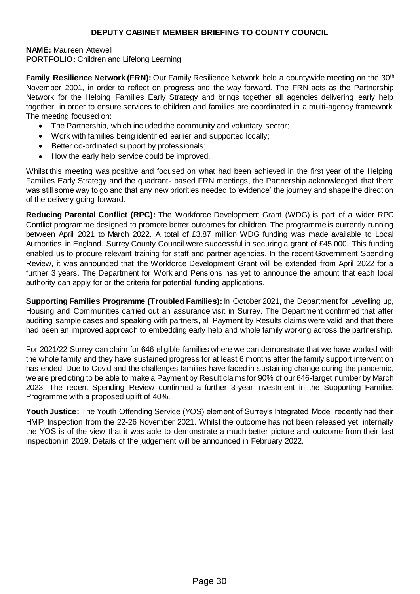**NAME:** Maureen Attewell **PORTFOLIO:** Children and Lifelong Learning

**Family Resilience Network (FRN):** Our Family Resilience Network held a countywide meeting on the 30th November 2001, in order to reflect on progress and the way forward. The FRN acts as the Partnership Network for the Helping Families Early Strategy and brings together all agencies delivering early help together, in order to ensure services to children and families are coordinated in a multi-agency framework. The meeting focused on:

- The Partnership, which included the community and voluntary sector;
- Work with families being identified earlier and supported locally;
- Better co-ordinated support by professionals;
- How the early help service could be improved.

Whilst this meeting was positive and focused on what had been achieved in the first year of the Helping Families Early Strategy and the quadrant- based FRN meetings, the Partnership acknowledged that there was still some way to go and that any new priorities needed to 'evidence' the journey and shape the direction of the delivery going forward.

**Reducing Parental Conflict (RPC):** The Workforce Development Grant (WDG) is part of a wider RPC Conflict programme designed to promote better outcomes for children. The programme is currently running between April 2021 to March 2022. A total of £3.87 million WDG funding was made available to Local Authorities in England. Surrey County Council were successful in securing a grant of £45,000. This funding enabled us to procure relevant training for staff and partner agencies. In the recent Government Spending Review, it was announced that the Workforce Development Grant will be extended from April 2022 for a further 3 years. The Department for Work and Pensions has yet to announce the amount that each local authority can apply for or the criteria for potential funding applications.

**Supporting Families Programme (Troubled Families):** In October 2021, the Department for Levelling up, Housing and Communities carried out an assurance visit in Surrey. The Department confirmed that after auditing sample cases and speaking with partners, all Payment by Results claims were valid and that there had been an improved approach to embedding early help and whole family working across the partnership.

For 2021/22 Surrey can claim for 646 eligible families where we can demonstrate that we have worked with the whole family and they have sustained progress for at least 6 months after the family support intervention has ended. Due to Covid and the challenges families have faced in sustaining change during the pandemic, we are predicting to be able to make a Payment by Result claims for 90% of our 646-target number by March 2023. The recent Spending Review confirmed a further 3-year investment in the Supporting Families Programme with a proposed uplift of 40%.

Youth Justice: The Youth Offending Service (YOS) element of Surrey's Integrated Model recently had their HMIP Inspection from the 22-26 November 2021. Whilst the outcome has not been released yet, internally the YOS is of the view that it was able to demonstrate a much better picture and outcome from their last inspection in 2019. Details of the judgement will be announced in February 2022.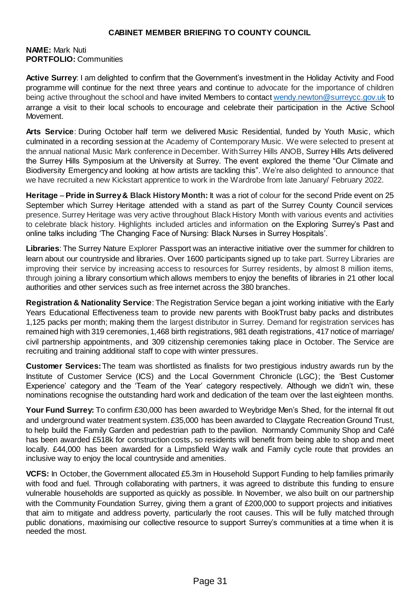### **NAME:** Mark Nuti **PORTFOLIO:** Communities

Active Surrey: I am delighted to confirm that the Government's investment in the Holiday Activity and Food [programme](https://www.activesurrey.com/community/club4) will continue for the next three years and continue to advocate for the importance of children being active throughout the school and have invited Members to contact [wendy.newton@surreycc.gov.uk](mailto:wendy.newton@surreycc.gov.uk) to arrange a visit to their local schools to encourage and celebrate their participation in the [Active School](https://www.activesurrey.com/schools/ASM)  [Movement.](https://www.activesurrey.com/schools/ASM)

**Arts Service**: During October half term we delivered Music Residential, funded by Youth Music, which culminated in a recording session at the Academy of Contemporary Music. We were selected to present at the annual national Music Mark conference in December. With Surrey Hills ANOB, Surrey Hills Arts delivered the Surrey Hills Symposium at the University at Surrey. The event explored the theme "Our Climate and Biodiversity Emergency and looking at how artists are tackling this". We're also delighted to announce that we have recruited a new Kickstart apprentice to work in the Wardrobe from late January/ February 2022.

**Heritage** – **Pride in Surrey& Black History Month:** It was a riot of colour for the second Pride event on 25 September which Surrey Heritage attended with a stand as part of the Surrey County Council services presence. Surrey Heritage was very active throughout Black History Month with various events and activities to celebrate black history. Highlights included articles and information on the Exploring Surrey's Past and online talks including 'The Changing Face of Nursing: Black Nurses in Surrey Hospitals'.

**Libraries**: The Surrey Nature Explorer Passport was an interactive initiative over the summer for children to learn about our countryside and libraries. Over 1600 participants signed up to take part. Surrey Libraries are improving their service by increasing access to resources for Surrey residents, by almost 8 million items, through joining a library consortium which allows members to enjoy the benefits of libraries in 21 other local authorities and other services such as free internet across the 380 branches.

**Registration & Nationality Service**: The Registration Service began a joint working initiative with the Early Years Educational Effectiveness team to provide new parents with BookTrust baby packs and distributes 1,125 packs per month; making them the largest distributor in Surrey. Demand for registration services has remained high with 319 ceremonies, 1,468 birth registrations, 981 death registrations, 417 notice of marriage/ civil partnership appointments, and 309 citizenship ceremonies taking place in October. The Service are recruiting and training additional staff to cope with winter pressures.

**Customer Services:**The team was shortlisted as finalists for two prestigious industry awards run by the Institute of Customer Service (ICS) and the Local Government Chronicle (LGC); the 'Best Customer Experience' category and the 'Team of the Year' category respectively. Although we didn't win, these nominations recognise the outstanding hard work and dedication of the team over the last eighteen months.

**Your Fund Surrey:** To confirm £30,000 has been awarded to Weybridge Men's Shed, for the internal fit out and underground water treatment system. £35,000 has been awarded to Claygate Recreation Ground Trust, to help build the Family Garden and pedestrian path to the pavilion. Normandy Community Shop and Café has been awarded £518k for construction costs, so residents will benefit from being able to shop and meet locally. £44,000 has been awarded for a Limpsfield Way walk and Family cycle route that provides an inclusive way to enjoy the local countryside and amenities.

**VCFS:** In October, the Government allocated £5.3m in Household Support Funding to help families primarily with food and fuel. Through collaborating with partners, it was agreed to distribute this funding to ensure vulnerable households are supported as quickly as possible. In November, we also built on our partnership with the Community Foundation Surrey, giving them a grant of £200,000 to support projects and initiatives that aim to mitigate and address poverty, particularly the root causes. This will be fully matched through public donations, maximising our collective resource to support Surrey's communities at a time when it is needed the most.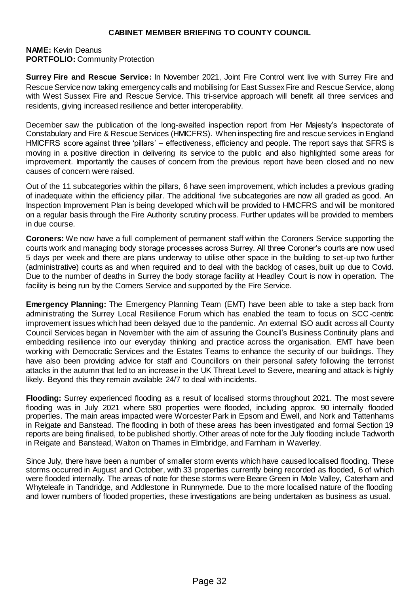### **NAME:** Kevin Deanus **PORTFOLIO:** Community Protection

**Surrey Fire and Rescue Service:** In November 2021, Joint Fire Control went live with Surrey Fire and Rescue Service now taking emergency calls and mobilising for East Sussex Fire and Rescue Service, along with West Sussex Fire and Rescue Service. This tri-service approach will benefit all three services and residents, giving increased resilience and better interoperability.

December saw the publication of the long-awaited inspection report from Her Majesty's Inspectorate of Constabulary and Fire & Rescue Services (HMICFRS). When inspecting fire and rescue services in England HMICFRS score against three 'pillars' – effectiveness, efficiency and people. The report says that SFRS is moving in a positive direction in delivering its service to the public and also highlighted some areas for improvement. Importantly the causes of concern from the previous report have been closed and no new causes of concern were raised.

Out of the 11 subcategories within the pillars, 6 have seen improvement, which includes a previous grading of inadequate within the efficiency pillar. The additional five subcategories are now all graded as good. An Inspection Improvement Plan is being developed which will be provided to HMICFRS and will be monitored on a regular basis through the Fire Authority scrutiny process. Further updates will be provided to members in due course.

**Coroners:** We now have a full complement of permanent staff within the Coroners Service supporting the courts work and managing body storage processes across Surrey. All three Coroner's courts are now used 5 days per week and there are plans underway to utilise other space in the building to set-up two further (administrative) courts as and when required and to deal with the backlog of cases, built up due to Covid. Due to the number of deaths in Surrey the body storage facility at Headley Court is now in operation. The facility is being run by the Corners Service and supported by the Fire Service.

**Emergency Planning:** The Emergency Planning Team (EMT) have been able to take a step back from administrating the Surrey Local Resilience Forum which has enabled the team to focus on SCC-centric improvement issues which had been delayed due to the pandemic. An external ISO audit across all County Council Services began in November with the aim of assuring the Council's Business Continuity plans and embedding resilience into our everyday thinking and practice across the organisation. EMT have been working with Democratic Services and the Estates Teams to enhance the security of our buildings. They have also been providing advice for staff and Councillors on their personal safety following the terrorist attacks in the autumn that led to an increase in the UK Threat Level to Severe, meaning and attack is highly likely. Beyond this they remain available 24/7 to deal with incidents.

**Flooding:** Surrey experienced flooding as a result of localised storms throughout 2021. The most severe flooding was in July 2021 where 580 properties were flooded, including approx. 90 internally flooded properties. The main areas impacted were Worcester Park in Epsom and Ewell, and Nork and Tattenhams in Reigate and Banstead. The flooding in both of these areas has been investigated and formal Section 19 reports are being finalised, to be published shortly. Other areas of note for the July flooding include Tadworth in Reigate and Banstead, Walton on Thames in Elmbridge, and Farnham in Waverley.

Since July, there have been a number of smaller storm events which have caused localised flooding. These storms occurred in August and October, with 33 properties currently being recorded as flooded, 6 of which were flooded internally. The areas of note for these storms were Beare Green in Mole Valley, Caterham and Whyteleafe in Tandridge, and Addlestone in Runnymede. Due to the more localised nature of the flooding and lower numbers of flooded properties, these investigations are being undertaken as business as usual.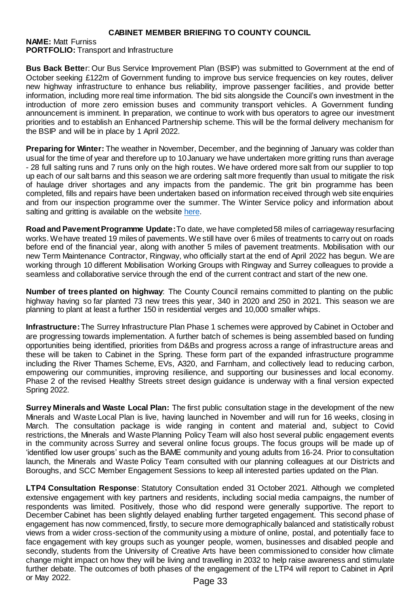**NAME:** Matt Furniss **PORTFOLIO:** Transport and Infrastructure

**Bus Back Bette**r: Our Bus Service Improvement Plan (BSIP) was submitted to Government at the end of October seeking £122m of Government funding to improve bus service frequencies on key routes, deliver new highway infrastructure to enhance bus reliability, improve passenger facilities, and provide better information, including more real time information. The bid sits alongside the Council's own investment in the introduction of more zero emission buses and community transport vehicles. A Government funding announcement is imminent. In preparation, we continue to work with bus operators to agree our investment priorities and to establish an Enhanced Partnership scheme. This will be the formal delivery mechanism for the BSIP and will be in place by 1 April 2022.

**Preparing for Winter:** The weather in November, December, and the beginning of January was colder than usual for the time of year and therefore up to 10January we have undertaken more gritting runs than average - 28 full salting runs and 7 runs only on the high routes. We have ordered more salt from our supplier to top up each of our salt barns and this season we are ordering salt more frequently than usual to mitigate the risk of haulage driver shortages and any impacts from the pandemic. The grit bin programme has been completed, fills and repairs have been undertaken based on information received through web site enquiries and from our inspection programme over the summer. The Winter Service policy and information about salting and gritting is available on the website here.

**Road and Pavement Programme Update:** To date, we have completed 58 miles of carriageway resurfacing works. We have treated 19 miles of pavements. We still have over 6 miles of treatments to carry out on roads before end of the financial year, along with another 5 miles of pavement treatments. Mobilisation with our new Term Maintenance Contractor, Ringway, who officially start at the end of April 2022 has begun. We are working through 10 different Mobilisation Working Groups with Ringway and Surrey colleagues to provide a seamless and collaborative service through the end of the current contract and start of the new one.

**Number of trees planted on highway**: The County Council remains committed to planting on the public highway having so far planted 73 new trees this year, 340 in 2020 and 250 in 2021. This season we are planning to plant at least a further 150 in residential verges and 10,000 smaller whips.

**Infrastructure:**The Surrey Infrastructure Plan Phase 1 schemes were approved by Cabinet in October and are progressing towards implementation. A further batch of schemes is being assembled based on funding opportunities being identified, priorities from D&Bs and progress across a range of infrastructure areas and these will be taken to Cabinet in the Spring. These form part of the expanded infrastructure programme including the River Thames Scheme, EVs, A320, and Farnham, and collectively lead to reducing carbon, empowering our communities, improving resilience, and supporting our businesses and local economy. Phase 2 of the revised Healthy Streets street design guidance is underway with a final version expected Spring 2022.

**Surrey Minerals and Waste Local Plan:** The first public consultation stage in the development of the new Minerals and Waste Local Plan is live, having launched in November and will run for 16 weeks, closing in March. The consultation package is wide ranging in content and material and, subject to Covid restrictions, the Minerals and Waste Planning Policy Team will also host several public engagement events in the community across Surrey and several online focus groups. The focus groups will be made up of 'identified low user groups' such as the BAME community and young adults from 16-24. Prior to consultation launch, the Minerals and Waste Policy Team consulted with our planning colleagues at our Districts and Boroughs, and SCC Member Engagement Sessions to keep all interested parties updated on the Plan.

**LTP4 Consultation Response**: Statutory Consultation ended 31 October 2021. Although we completed extensive engagement with key partners and residents, including social media campaigns, the number of respondents was limited. Positively, those who did respond were generally supportive. The report to December Cabinet has been slightly delayed enabling further targeted engagement. This second phase of engagement has now commenced, firstly, to secure more demographically balanced and statistically robust views from a wider cross-section of the community using a mixture of online, postal, and potentially face to face engagement with key groups such as younger people, women, businesses and disabled people and secondly, students from the University of Creative Arts have been commissioned to consider how climate change might impact on how they will be living and travelling in 2032 to help raise awareness and stimulate further debate. The outcomes of both phases of the engagement of the LTP4 will report to Cabinet in April or May 2022.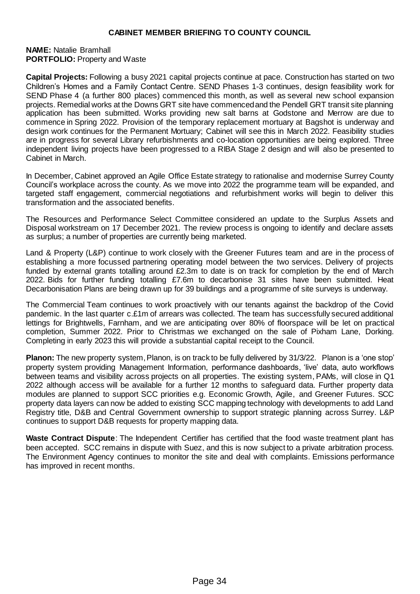#### **NAME:** Natalie Bramhall **PORTFOLIO: Property and Waste**

**Capital Projects:** Following a busy 2021 capital projects continue at pace. Construction has started on two Children's Homes and a Family Contact Centre. SEND Phases 1-3 continues, design feasibility work for SEND Phase 4 (a further 800 places) commenced this month, as well as several new school expansion projects. Remedial works at the Downs GRT site have commenced and the Pendell GRT transit site planning application has been submitted. Works providing new salt barns at Godstone and Merrow are due to commence in Spring 2022. Provision of the temporary replacement mortuary at Bagshot is underway and design work continues for the Permanent Mortuary; Cabinet will see this in March 2022. Feasibility studies are in progress for several Library refurbishments and co-location opportunities are being explored. Three independent living projects have been progressed to a RIBA Stage 2 design and will also be presented to Cabinet in March.

In December, Cabinet approved an Agile Office Estate strategy to rationalise and modernise Surrey County Council's workplace across the county. As we move into 2022 the programme team will be expanded, and targeted staff engagement, commercial negotiations and refurbishment works will begin to deliver this transformation and the associated benefits.

The Resources and Performance Select Committee considered an update to the Surplus Assets and Disposal workstream on 17 December 2021. The review process is ongoing to identify and declare assets as surplus; a number of properties are currently being marketed.

Land & Property (L&P) continue to work closely with the Greener Futures team and are in the process of establishing a more focussed partnering operating model between the two services. Delivery of projects funded by external grants totalling around £2.3m to date is on track for completion by the end of March 2022. Bids for further funding totalling £7.6m to decarbonise 31 sites have been submitted. Heat Decarbonisation Plans are being drawn up for 39 buildings and a programme of site surveys is underway.

The Commercial Team continues to work proactively with our tenants against the backdrop of the Covid pandemic. In the last quarter c.£1m of arrears was collected. The team has successfully secured additional lettings for Brightwells, Farnham, and we are anticipating over 80% of floorspace will be let on practical completion, Summer 2022. Prior to Christmas we exchanged on the sale of Pixham Lane, Dorking. Completing in early 2023 this will provide a substantial capital receipt to the Council.

**Planon:** The new property system, Planon, is on track to be fully delivered by 31/3/22. Planon is a 'one stop' property system providing Management Information, performance dashboards, 'live' data, auto workflows between teams and visibility across projects on all properties. The existing system, PAMs, will close in Q1 2022 although access will be available for a further 12 months to safeguard data. Further property data modules are planned to support SCC priorities e.g. Economic Growth, Agile, and Greener Futures. SCC property data layers can now be added to existing SCC mapping technology with developments to add Land Registry title, D&B and Central Government ownership to support strategic planning across Surrey. L&P continues to support D&B requests for property mapping data.

**Waste Contract Dispute**: The Independent Certifier has certified that the food waste treatment plant has been accepted. SCC remains in dispute with Suez, and this is now subject to a private arbitration process. The Environment Agency continues to monitor the site and deal with complaints. Emissions performance has improved in recent months.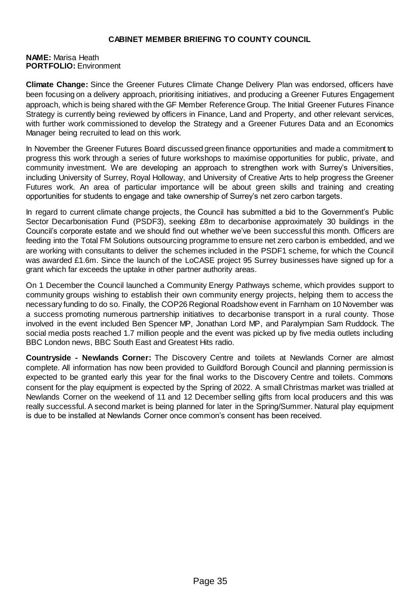### **NAME:** Marisa Heath **PORTFOLIO:** Environment

**Climate Change:** Since the Greener Futures Climate Change Delivery Plan was endorsed, officers have been focusing on a delivery approach, prioritising initiatives, and producing a Greener Futures Engagement approach, which is being shared with the GF Member Reference Group. The Initial Greener Futures Finance Strategy is currently being reviewed by officers in Finance, Land and Property, and other relevant services, with further work commissioned to develop the Strategy and a Greener Futures Data and an Economics Manager being recruited to lead on this work.

In November the Greener Futures Board discussed green finance opportunities and made a commitment to progress this work through a series of future workshops to maximise opportunities for public, private, and community investment. We are developing an approach to strengthen work with Surrey's Universities, including University of Surrey, Royal Holloway, and University of Creative Arts to help progress the Greener Futures work. An area of particular importance will be about green skills and training and creating opportunities for students to engage and take ownership of Surrey's net zero carbon targets.

In regard to current climate change projects, the Council has submitted a bid to the Government's Public Sector Decarbonisation Fund (PSDF3), seeking £8m to decarbonise approximately 30 buildings in the Council's corporate estate and we should find out whether we've been successful this month. Officers are feeding into the Total FM Solutions outsourcing programme to ensure net zero carbon is embedded, and we are working with consultants to deliver the schemes included in the PSDF1 scheme, for which the Council was awarded £1.6m. Since the launch of the LoCASE project 95 Surrey businesses have signed up for a grant which far exceeds the uptake in other partner authority areas.

On 1 December the Council launched a Community Energy Pathways scheme, which provides support to community groups wishing to establish their own community energy projects, helping them to access the necessary funding to do so. Finally, the COP26 Regional Roadshow event in Farnham on 10 November was a success promoting numerous partnership initiatives to decarbonise transport in a rural county. Those involved in the event included Ben Spencer MP, Jonathan Lord MP, and Paralympian Sam Ruddock. The social media posts reached 1.7 million people and the event was picked up by five media outlets including BBC London news, BBC South East and Greatest Hits radio.

**Countryside - Newlands Corner:** The Discovery Centre and toilets at Newlands Corner are almost complete. All information has now been provided to Guildford Borough Council and planning permission is expected to be granted early this year for the final works to the Discovery Centre and toilets. Commons consent for the play equipment is expected by the Spring of 2022. A small Christmas market was trialled at Newlands Corner on the weekend of 11 and 12 December selling gifts from local producers and this was really successful. A second market is being planned for later in the Spring/Summer. Natural play equipment is due to be installed at Newlands Corner once common's consent has been received.